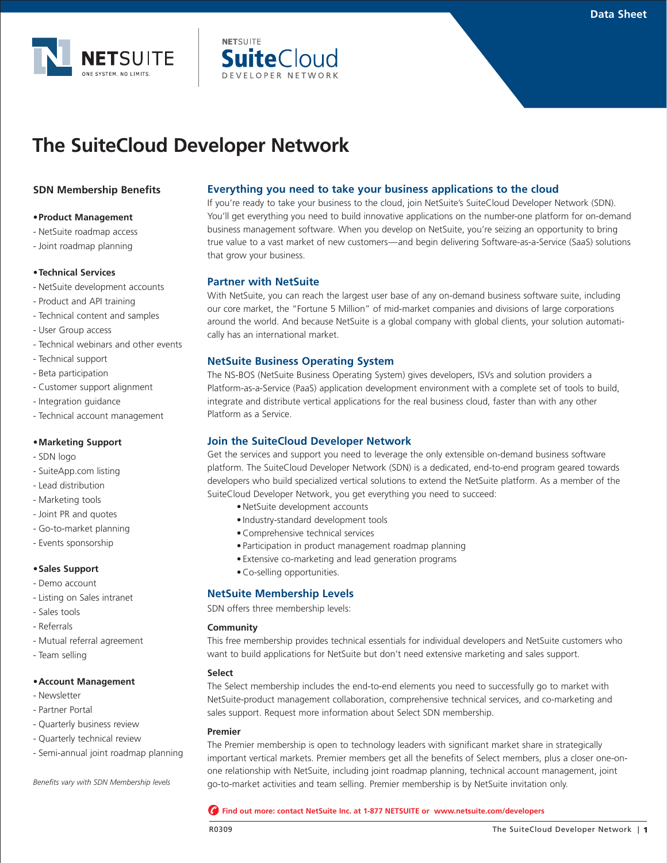



# **The SuiteCloud Developer Network**

# **SDN Membership Benefits**

#### **•Product Management**

- NetSuite roadmap access
- Joint roadmap planning

## **•Technical Services**

- NetSuite development accounts
- Product and API training
- Technical content and samples
- User Group access
- Technical webinars and other events
- Technical support
- Beta participation
- Customer support alignment
- Integration guidance
- Technical account management

# **•Marketing Support**

- SDN logo
- SuiteApp.com listing
- Lead distribution
- Marketing tools
- Joint PR and quotes
- Go-to-market planning
- Events sponsorship

#### **•Sales Support**

- Demo account
- Listing on Sales intranet
- Sales tools
- Referrals
- Mutual referral agreement
- Team selling

#### **•Account Management**

- Newsletter
- Partner Portal
- Quarterly business review
- Quarterly technical review
- Semi-annual joint roadmap planning

*Benefits vary with SDN Membership levels*

## **Everything you need to take your business applications to the cloud**

If you're ready to take your business to the cloud, join NetSuite's SuiteCloud Developer Network (SDN). You'll get everything you need to build innovative applications on the number-one platform for on-demand business management software. When you develop on NetSuite, you're seizing an opportunity to bring true value to a vast market of new customers—and begin delivering Software-as-a-Service (SaaS) solutions that grow your business.

# **Partner with NetSuite**

With NetSuite, you can reach the largest user base of any on-demand business software suite, including our core market, the "Fortune 5 Million" of mid-market companies and divisions of large corporations around the world. And because NetSuite is a global company with global clients, your solution automatically has an international market.

# **NetSuite Business Operating System**

The NS-BOS (NetSuite Business Operating System) gives developers, ISVs and solution providers a Platform-as-a-Service (PaaS) application development environment with a complete set of tools to build, integrate and distribute vertical applications for the real business cloud, faster than with any other Platform as a Service.

# **Join the SuiteCloud Developer Network**

Get the services and support you need to leverage the only extensible on-demand business software platform. The SuiteCloud Developer Network (SDN) is a dedicated, end-to-end program geared towards developers who build specialized vertical solutions to extend the NetSuite platform. As a member of the SuiteCloud Developer Network, you get everything you need to succeed:

- NetSuite development accounts
- Industry-standard development tools
- Comprehensive technical services
- Participation in product management roadmap planning
- Extensive co-marketing and lead generation programs
- Co-selling opportunities.

# **NetSuite Membership Levels**

SDN offers three membership levels:

## **Community**

This free membership provides technical essentials for individual developers and NetSuite customers who want to build applications for NetSuite but don't need extensive marketing and sales support.

#### **Select**

The Select membership includes the end-to-end elements you need to successfully go to market with NetSuite-product management collaboration, comprehensive technical services, and co-marketing and sales support. Request more information about Select SDN membership.

#### **Premier**

The Premier membership is open to technology leaders with significant market share in strategically important vertical markets. Premier members get all the benefits of Select members, plus a closer one-onone relationship with NetSuite, including joint roadmap planning, technical account management, joint go-to-market activities and team selling. Premier membership is by NetSuite invitation only.

### **Find out more: contact NetSuite Inc. at 1-877 NETSUITE or www.netsuite.com/developers**